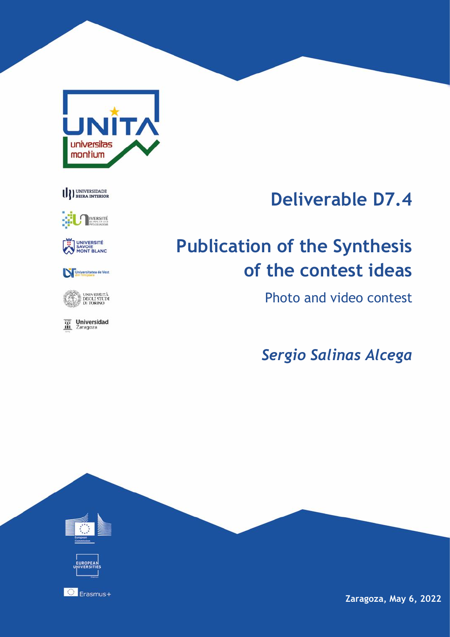

## U DEERA INTERIOR





#### Universitatea de Vest



**Universidad**<br>Zaragoza 冨

## **Deliverable D7.4**

# **Publication of the Synthesis of the contest ideas**

Photo and video contest

*Sergio Salinas Alcega*

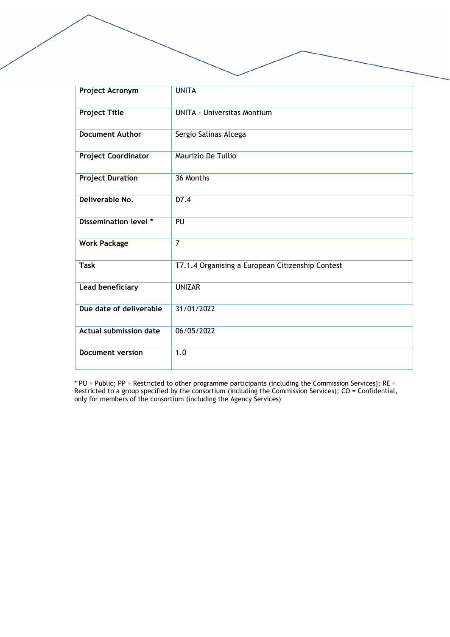| Project Acronym               | <b>UNITA</b>                                     |
|-------------------------------|--------------------------------------------------|
|                               |                                                  |
| <b>Project Title</b>          | <b>UNITA - Universitas Montium</b>               |
| <b>Document Author</b>        | Sergio Salinas Alcega                            |
| <b>Project Coordinator</b>    | Maurizio De Tullio                               |
| <b>Project Duration</b>       | 36 Months                                        |
| Deliverable No.               | D7.4                                             |
| Dissemination level *         | PU                                               |
| <b>Work Package</b>           | $\overline{7}$                                   |
| <b>Task</b>                   | T7.1.4 Organising a European Citizenship Contest |
| Lead beneficiary              | <b>UNIZAR</b>                                    |
| Due date of deliverable       | 31/01/2022                                       |
| <b>Actual submission date</b> | 06/05/2022                                       |
| <b>Document version</b>       | 1.0                                              |

\* PU = Public; PP = Restricted to other programme participants (including the Commission Services); RE = Restricted to a group specified by the consortium (including the Commission Services); CO = Confidential, only for members of the consortium (including the Agency Services)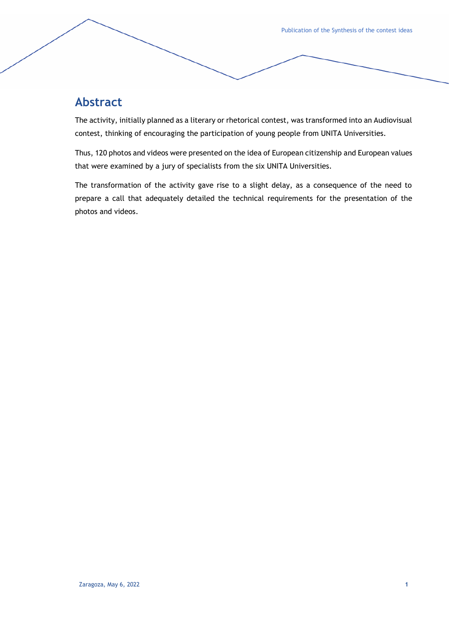## **Abstract**

The activity, initially planned as a literary or rhetorical contest, was transformed into an Audiovisual contest, thinking of encouraging the participation of young people from UNITA Universities.

Thus, 120 photos and videos were presented on the idea of European citizenship and European values that were examined by a jury of specialists from the six UNITA Universities.

The transformation of the activity gave rise to a slight delay, as a consequence of the need to prepare a call that adequately detailed the technical requirements for the presentation of the photos and videos.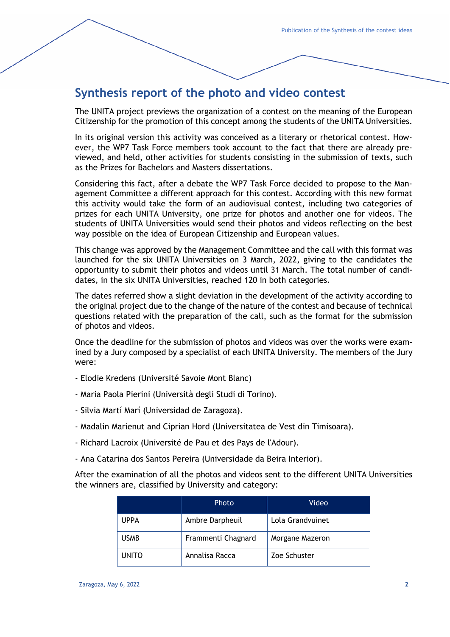## **Synthesis report of the photo and video contest**

The UNITA project previews the organization of a contest on the meaning of the European Citizenship for the promotion of this concept among the students of the UNITA Universities.

In its original version this activity was conceived as a literary or rhetorical contest. However, the WP7 Task Force members took account to the fact that there are already previewed, and held, other activities for students consisting in the submission of texts, such as the Prizes for Bachelors and Masters dissertations.

Considering this fact, after a debate the WP7 Task Force decided to propose to the Management Committee a different approach for this contest. According with this new format this activity would take the form of an audiovisual contest, including two categories of prizes for each UNITA University, one prize for photos and another one for videos. The students of UNITA Universities would send their photos and videos reflecting on the best way possible on the idea of European Citizenship and European values.

This change was approved by the Management Committee and the call with this format was launched for the six UNITA Universities on 3 March, 2022, giving to the candidates the opportunity to submit their photos and videos until 31 March. The total number of candidates, in the six UNITA Universities, reached 120 in both categories.

The dates referred show a slight deviation in the development of the activity according to the original project due to the change of the nature of the contest and because of technical questions related with the preparation of the call, such as the format for the submission of photos and videos.

Once the deadline for the submission of photos and videos was over the works were examined by a Jury composed by a specialist of each UNITA University. The members of the Jury were:

- Elodie Kredens (Université Savoie Mont Blanc)
- Maria Paola Pierini (Università degli Studi di Torino).
- Silvia Martí Marí (Universidad de Zaragoza).
- Madalin Marienut and Ciprian Hord (Universitatea de Vest din Timisoara).
- Richard Lacroix (Université de Pau et des Pays de l'Adour).
- Ana Catarina dos Santos Pereira (Universidade da Beira Interior).

After the examination of all the photos and videos sent to the different UNITA Universities the winners are, classified by University and category:

|              | Photo              | Video            |
|--------------|--------------------|------------------|
| <b>UPPA</b>  | Ambre Darpheuil    | Lola Grandvuinet |
| <b>USMB</b>  | Frammenti Chagnard | Morgane Mazeron  |
| <b>UNITO</b> | Annalisa Racca     | Zoe Schuster     |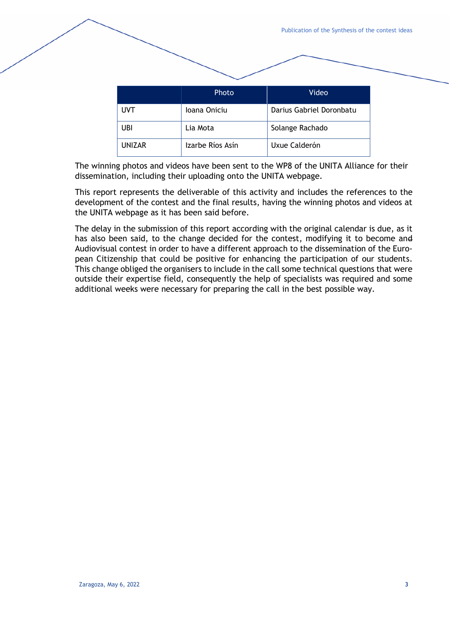|  |        | Photo            | Video                    |
|--|--------|------------------|--------------------------|
|  | UVT    | Ioana Oniciu     | Darius Gabriel Doronbatu |
|  | UBI    | Lia Mota         | Solange Rachado          |
|  | UNIZAR | Izarbe Ríos Asín | Uxue Calderón            |

The winning photos and videos have been sent to the WP8 of the UNITA Alliance for their dissemination, including their uploading onto the UNITA webpage.

This report represents the deliverable of this activity and includes the references to the development of the contest and the final results, having the winning photos and videos at the UNITA webpage as it has been said before.

The delay in the submission of this report according with the original calendar is due, as it has also been said, to the change decided for the contest, modifying it to become and Audiovisual contest in order to have a different approach to the dissemination of the European Citizenship that could be positive for enhancing the participation of our students. This change obliged the organisers to include in the call some technical questions that were outside their expertise field, consequently the help of specialists was required and some additional weeks were necessary for preparing the call in the best possible way.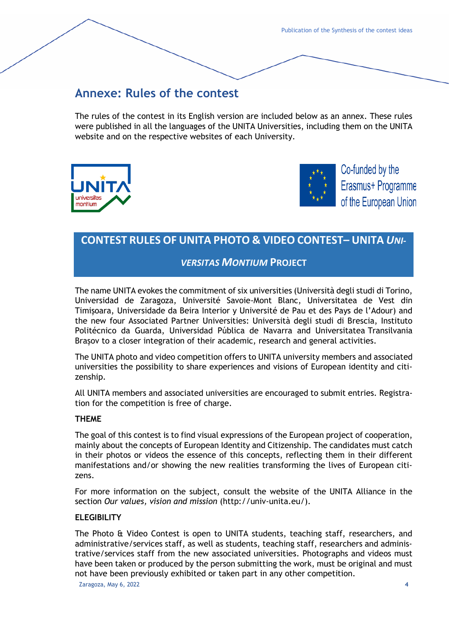## **Annexe: Rules of the contest**

The rules of the contest in its English version are included below as an annex. These rules were published in all the languages of the UNITA Universities, including them on the UNITA website and on the respective websites of each University.





Co-funded by the Erasmus+ Programme of the European Union

### **CONTEST RULES OF UNITA PHOTO & VIDEO CONTEST– UNITA** *UNI-*

#### *VERSITAS MONTIUM* **PROJECT**

The name UNITA evokes the commitment of six universities (Università degli studi di Torino, Universidad de Zaragoza, Université Savoie-Mont Blanc, Universitatea de Vest din Timişoara, Universidade da Beira Interior y Université de Pau et des Pays de l'Adour) and the new four Associated Partner Universities: Università degli studi di Brescia, Instituto Politécnico da Guarda, Universidad Pública de Navarra and Universitatea Transilvania Brașov to a closer integration of their academic, research and general activities.

The UNITA photo and video competition offers to UNITA university members and associated universities the possibility to share experiences and visions of European identity and citizenship.

All UNITA members and associated universities are encouraged to submit entries. Registration for the competition is free of charge.

#### **THEME**

The goal of this contest is to find visual expressions of the European project of cooperation, mainly about the concepts of European Identity and Citizenship. The candidates must catch in their photos or videos the essence of this concepts, reflecting them in their different manifestations and/or showing the new realities transforming the lives of European citizens.

For more information on the subject, consult the website of the UNITA Alliance in the section *Our values, vision and mission* (http://univ-unita.eu/).

#### **ELEGIBILITY**

Zaragoza, May 6, 2022 **4** The Photo & Video Contest is open to UNITA students, teaching staff, researchers, and administrative/services staff, as well as students, teaching staff, researchers and administrative/services staff from the new associated universities. Photographs and videos must have been taken or produced by the person submitting the work, must be original and must not have been previously exhibited or taken part in any other competition.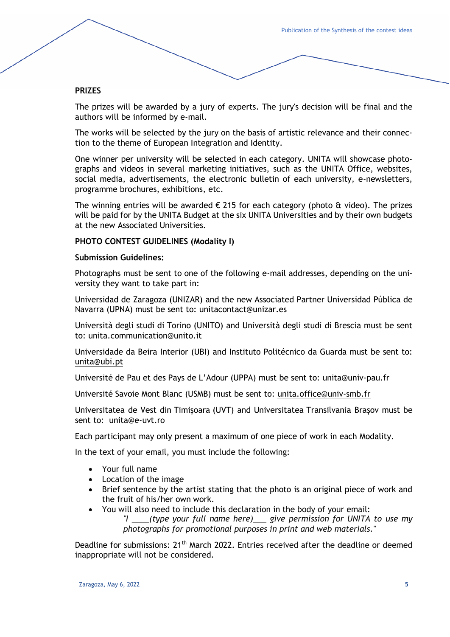#### **PRIZES**

The prizes will be awarded by a jury of experts. The jury's decision will be final and the authors will be informed by e-mail.

The works will be selected by the jury on the basis of artistic relevance and their connection to the theme of European Integration and Identity.

One winner per university will be selected in each category. UNITA will showcase photographs and videos in several marketing initiatives, such as the UNITA Office, websites, social media, advertisements, the electronic bulletin of each university, e-newsletters, programme brochures, exhibitions, etc.

The winning entries will be awarded  $\epsilon$  215 for each category (photo & video). The prizes will be paid for by the UNITA Budget at the six UNITA Universities and by their own budgets at the new Associated Universities.

#### **PHOTO CONTEST GUIDELINES (Modality I)**

#### **Submission Guidelines:**

Photographs must be sent to one of the following e-mail addresses, depending on the university they want to take part in:

Universidad de Zaragoza (UNIZAR) and the new Associated Partner Universidad Pública de Navarra (UPNA) must be sent to: [unitacontact@unizar.es](mailto:unitacontact@unizar.es)

Università degli studi di Torino (UNITO) and Università degli studi di Brescia must be sent to: unita.communication@unito.it

Universidade da Beira Interior (UBI) and Instituto Politécnico da Guarda must be sent to: unita@ubi.pt

Université de Pau et des Pays de L'Adour (UPPA) must be sent to: [unita@univ-pau.fr](mailto:unita@univ-pau.fr)

Université Savoie Mont Blanc (USMB) must be sent to: [unita.office@univ-smb.fr](mailto:unita.office@univ-smb.fr)

Universitatea de Vest din Timișoara (UVT) and Universitatea Transilvania Brașov must be sent to: unita@e-uvt.ro

Each participant may only present a maximum of one piece of work in each Modality.

In the text of your email, you must include the following:

- Your full name
- Location of the image
- Brief sentence by the artist stating that the photo is an original piece of work and the fruit of his/her own work.
- You will also need to include this declaration in the body of your email: *"I \_\_\_\_(type your full name here)\_\_\_ give permission for UNITA to use my photographs for promotional purposes in print and web materials."*

Deadline for submissions: 21<sup>th</sup> March 2022. Entries received after the deadline or deemed inappropriate will not be considered.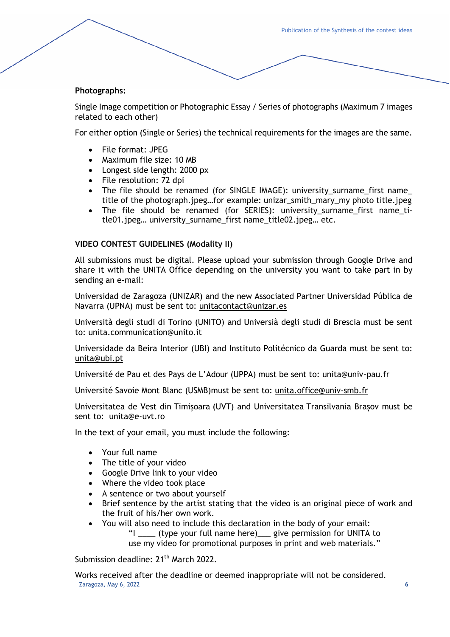#### **Photographs:**

Single Image competition or Photographic Essay / Series of photographs (Maximum 7 images related to each other)

For either option (Single or Series) the technical requirements for the images are the same.

- File format: JPEG
- Maximum file size: 10 MB
- Longest side length: 2000 px
- File resolution: 72 dpi
- The file should be renamed (for SINGLE IMAGE): university\_surname\_first name\_ title of the photograph.jpeg…for example: unizar\_smith\_mary\_my photo title.jpeg
- The file should be renamed (for SERIES): university\_surname\_first name\_title01.jpeg… university\_surname\_first name\_title02.jpeg… etc.

#### **VIDEO CONTEST GUIDELINES (Modality II)**

All submissions must be digital. Please upload your submission through Google Drive and share it with the UNITA Office depending on the university you want to take part in by sending an e-mail:

Universidad de Zaragoza (UNIZAR) and the new Associated Partner Universidad Pública de Navarra (UPNA) must be sent to: [unitacontact@unizar.es](mailto:unitacontact@unizar.es)

Università degli studi di Torino (UNITO) and Universià degli studi di Brescia must be sent to: unita.communication@unito.it

Universidade da Beira Interior (UBI) and Instituto Politécnico da Guarda must be sent to: [unita@ubi.pt](mailto:unita@ubi.pt)

Université de Pau et des Pays de L'Adour (UPPA) must be sent to: unita@univ-pau.fr

Université Savoie Mont Blanc (USMB)must be sent to: [unita.office@univ-smb.fr](mailto:unita.office@univ-smb.fr)

Universitatea de Vest din Timișoara (UVT) and Universitatea Transilvania Brașov must be sent to: unita@e-uvt.ro

In the text of your email, you must include the following:

- Your full name
- The title of your video
- Google Drive link to your video
- Where the video took place
- A sentence or two about yourself
- Brief sentence by the artist stating that the video is an original piece of work and the fruit of his/her own work.
- You will also need to include this declaration in the body of your email: "I \_\_\_\_ (type your full name here)\_\_\_ give permission for UNITA to use my video for promotional purposes in print and web materials."

Submission deadline: 21<sup>th</sup> March 2022.

Zaragoza, May 6, 2022 **6** Works received after the deadline or deemed inappropriate will not be considered.